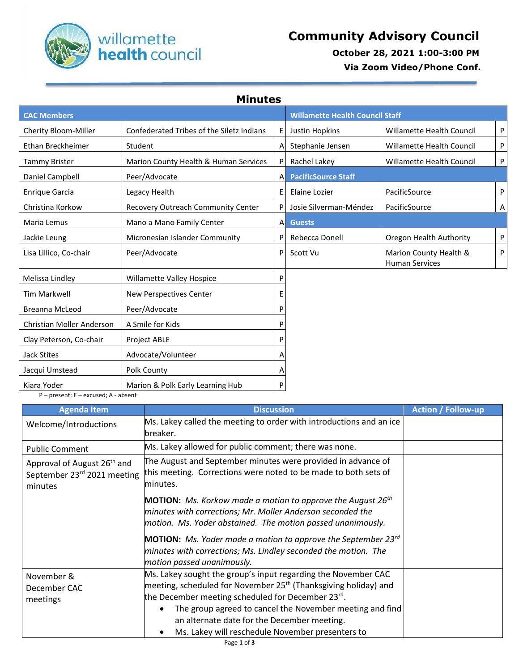

 **October 28, 2021 1:00-3:00 PM**

 **Via Zoom Video/Phone Conf.**

**Minutes**

| <b>CAC Members</b>                             |                                           | <b>Willamette Health Council Staff</b> |                            |                                                 |   |
|------------------------------------------------|-------------------------------------------|----------------------------------------|----------------------------|-------------------------------------------------|---|
| Cherity Bloom-Miller                           | Confederated Tribes of the Siletz Indians | E                                      | Justin Hopkins             | <b>Willamette Health Council</b>                | P |
| Ethan Breckheimer                              | Student                                   | A                                      | Stephanie Jensen           | <b>Willamette Health Council</b>                | P |
| Tammy Brister                                  | Marion County Health & Human Services     | P                                      | Rachel Lakey               | <b>Willamette Health Council</b>                | P |
| Daniel Campbell                                | Peer/Advocate                             | Α                                      | <b>PacificSource Staff</b> |                                                 |   |
| <b>Enrique Garcia</b>                          | Legacy Health                             | Ε                                      | Elaine Lozier              | PacificSource                                   | P |
| Christina Korkow                               | Recovery Outreach Community Center        | P                                      | Josie Silverman-Méndez     | PacificSource                                   | Α |
| Maria Lemus                                    | Mano a Mano Family Center                 | Α                                      | <b>Guests</b>              |                                                 |   |
| Jackie Leung                                   | Micronesian Islander Community            | P                                      | Rebecca Donell             | Oregon Health Authority                         | P |
| Lisa Lillico, Co-chair                         | Peer/Advocate                             | P                                      | Scott Vu                   | Marion County Health &<br><b>Human Services</b> | P |
| Melissa Lindley                                | Willamette Valley Hospice                 | P                                      |                            |                                                 |   |
| Tim Markwell                                   | <b>New Perspectives Center</b>            | Е                                      |                            |                                                 |   |
| <b>Breanna McLeod</b>                          | Peer/Advocate                             | P                                      |                            |                                                 |   |
| <b>Christian Moller Anderson</b>               | A Smile for Kids                          | P                                      |                            |                                                 |   |
| Clay Peterson, Co-chair                        | <b>Project ABLE</b>                       | P                                      |                            |                                                 |   |
| <b>Jack Stites</b>                             | Advocate/Volunteer                        | A                                      |                            |                                                 |   |
| Jacqui Umstead                                 | Polk County                               | Α                                      |                            |                                                 |   |
| Kiara Yoder<br>ومطمان المتحدث ويتمرح والمعامرة | Marion & Polk Early Learning Hub          | P                                      |                            |                                                 |   |

P – present; E – excused; A - absent

| <b>Agenda Item</b>                                                                                                                                                                                                               | <b>Discussion</b>                                                                                                                                                                                                                                                                                                                                                | <b>Action / Follow-up</b> |
|----------------------------------------------------------------------------------------------------------------------------------------------------------------------------------------------------------------------------------|------------------------------------------------------------------------------------------------------------------------------------------------------------------------------------------------------------------------------------------------------------------------------------------------------------------------------------------------------------------|---------------------------|
| Welcome/Introductions                                                                                                                                                                                                            | Ms. Lakey called the meeting to order with introductions and an ice<br>breaker.                                                                                                                                                                                                                                                                                  |                           |
| <b>Public Comment</b>                                                                                                                                                                                                            | Ms. Lakey allowed for public comment; there was none.                                                                                                                                                                                                                                                                                                            |                           |
| The August and September minutes were provided in advance of<br>Approval of August 26 <sup>th</sup> and<br>this meeting. Corrections were noted to be made to both sets of<br>September 23rd 2021 meeting<br>minutes.<br>minutes |                                                                                                                                                                                                                                                                                                                                                                  |                           |
|                                                                                                                                                                                                                                  | <b>MOTION:</b> Ms. Korkow made a motion to approve the August 26 <sup>th</sup><br>minutes with corrections; Mr. Moller Anderson seconded the<br>motion. Ms. Yoder abstained. The motion passed unanimously.                                                                                                                                                      |                           |
|                                                                                                                                                                                                                                  | <b>MOTION:</b> Ms. Yoder made a motion to approve the September 23 $^{rd}$<br>minutes with corrections; Ms. Lindley seconded the motion. The<br>motion passed unanimously.                                                                                                                                                                                       |                           |
| November &<br>December CAC<br>meetings                                                                                                                                                                                           | Ms. Lakey sought the group's input regarding the November CAC<br>meeting, scheduled for November 25 <sup>th</sup> (Thanksgiving holiday) and<br>the December meeting scheduled for December 23rd.<br>The group agreed to cancel the November meeting and find<br>an alternate date for the December meeting.<br>Ms. Lakey will reschedule November presenters to |                           |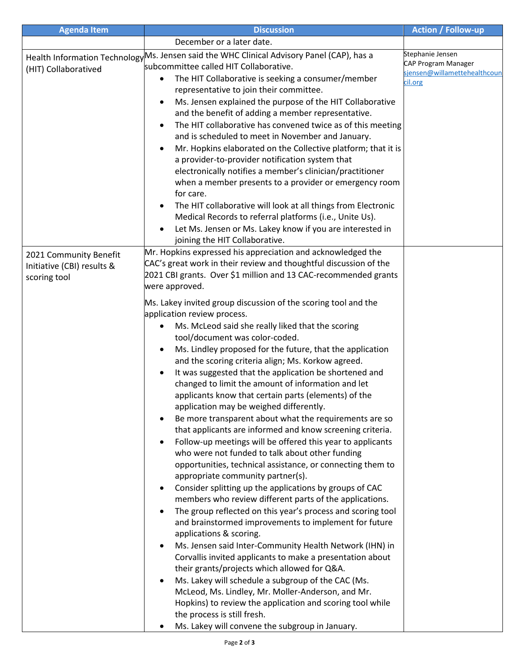| <b>Agenda Item</b>         | <b>Discussion</b>                                                                                             | <b>Action / Follow-up</b>    |
|----------------------------|---------------------------------------------------------------------------------------------------------------|------------------------------|
|                            | December or a later date.                                                                                     |                              |
|                            | Health Information Technology Ms. Jensen said the WHC Clinical Advisory Panel (CAP), has a                    | Stephanie Jensen             |
| (HIT) Collaboratived       | subcommittee called HIT Collaborative.                                                                        | CAP Program Manager          |
|                            | The HIT Collaborative is seeking a consumer/member<br>٠                                                       | sjensen@willamettehealthcoun |
|                            | representative to join their committee.                                                                       | cil.org                      |
|                            | Ms. Jensen explained the purpose of the HIT Collaborative<br>$\bullet$                                        |                              |
|                            | and the benefit of adding a member representative.                                                            |                              |
|                            | The HIT collaborative has convened twice as of this meeting                                                   |                              |
|                            | and is scheduled to meet in November and January.                                                             |                              |
|                            | Mr. Hopkins elaborated on the Collective platform; that it is<br>$\bullet$                                    |                              |
|                            | a provider-to-provider notification system that                                                               |                              |
|                            | electronically notifies a member's clinician/practitioner                                                     |                              |
|                            | when a member presents to a provider or emergency room                                                        |                              |
|                            | for care.                                                                                                     |                              |
|                            | The HIT collaborative will look at all things from Electronic<br>$\bullet$                                    |                              |
|                            | Medical Records to referral platforms (i.e., Unite Us).                                                       |                              |
|                            | Let Ms. Jensen or Ms. Lakey know if you are interested in                                                     |                              |
|                            | joining the HIT Collaborative.                                                                                |                              |
|                            | Mr. Hopkins expressed his appreciation and acknowledged the                                                   |                              |
| 2021 Community Benefit     | CAC's great work in their review and thoughtful discussion of the                                             |                              |
| Initiative (CBI) results & | 2021 CBI grants. Over \$1 million and 13 CAC-recommended grants                                               |                              |
| scoring tool               | were approved.                                                                                                |                              |
|                            |                                                                                                               |                              |
|                            | Ms. Lakey invited group discussion of the scoring tool and the                                                |                              |
|                            | application review process.                                                                                   |                              |
|                            | Ms. McLeod said she really liked that the scoring                                                             |                              |
|                            | tool/document was color-coded.                                                                                |                              |
|                            | Ms. Lindley proposed for the future, that the application                                                     |                              |
|                            | and the scoring criteria align; Ms. Korkow agreed.                                                            |                              |
|                            | It was suggested that the application be shortened and<br>$\bullet$                                           |                              |
|                            | changed to limit the amount of information and let                                                            |                              |
|                            | applicants know that certain parts (elements) of the                                                          |                              |
|                            | application may be weighed differently.                                                                       |                              |
|                            | Be more transparent about what the requirements are so                                                        |                              |
|                            | that applicants are informed and know screening criteria.                                                     |                              |
|                            | Follow-up meetings will be offered this year to applicants                                                    |                              |
|                            | who were not funded to talk about other funding<br>opportunities, technical assistance, or connecting them to |                              |
|                            | appropriate community partner(s).                                                                             |                              |
|                            | Consider splitting up the applications by groups of CAC                                                       |                              |
|                            | members who review different parts of the applications.                                                       |                              |
|                            | The group reflected on this year's process and scoring tool                                                   |                              |
|                            | and brainstormed improvements to implement for future                                                         |                              |
|                            | applications & scoring.                                                                                       |                              |
|                            | Ms. Jensen said Inter-Community Health Network (IHN) in<br>$\bullet$                                          |                              |
|                            | Corvallis invited applicants to make a presentation about                                                     |                              |
|                            | their grants/projects which allowed for Q&A.                                                                  |                              |
|                            | Ms. Lakey will schedule a subgroup of the CAC (Ms.                                                            |                              |
|                            | McLeod, Ms. Lindley, Mr. Moller-Anderson, and Mr.                                                             |                              |
|                            | Hopkins) to review the application and scoring tool while                                                     |                              |
|                            | the process is still fresh.                                                                                   |                              |
|                            | Ms. Lakey will convene the subgroup in January.                                                               |                              |